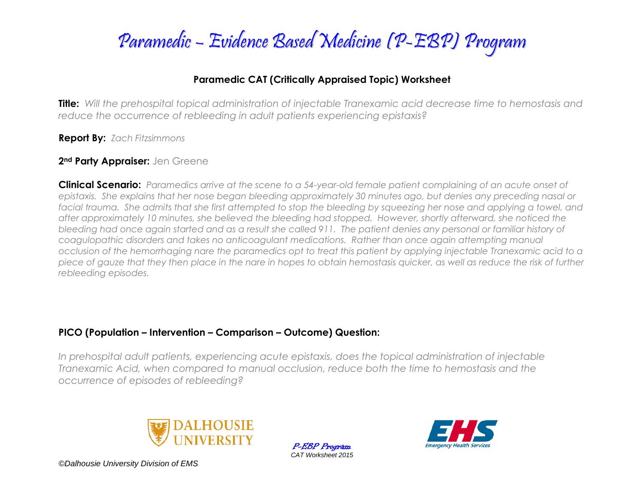

#### **Paramedic CAT (Critically Appraised Topic) Worksheet**

**Title:** *Will the prehospital topical administration of injectable Tranexamic acid decrease time to hemostasis and reduce the occurrence of rebleeding in adult patients experiencing epistaxis?*

**Report By:** *Zach Fitzsimmons*

#### **2nd Party Appraiser:** Jen Greene

**Clinical Scenario:** *Paramedics arrive at the scene to a 54-year-old female patient complaining of an acute onset of epistaxis. She explains that her nose began bleeding approximately 30 minutes ago, but denies any preceding nasal or*  facial trauma. She admits that she first attempted to stop the bleeding by squeezing her nose and applying a towel, and *after approximately 10 minutes, she believed the bleeding had stopped. However, shortly afterward, she noticed the bleeding had once again started and as a result she called 911. The patient denies any personal or familiar history of coagulopathic disorders and takes no anticoagulant medications. Rather than once again attempting manual occlusion of the hemorrhaging nare the paramedics opt to treat this patient by applying injectable Tranexamic acid to a piece of gauze that they then place in the nare in hopes to obtain hemostasis quicker, as well as reduce the risk of further rebleeding episodes.*

#### **PICO (Population – Intervention – Comparison – Outcome) Question:**

*In prehospital adult patients, experiencing acute epistaxis, does the topical administration of injectable Tranexamic Acid, when compared to manual occlusion, reduce both the time to hemostasis and the occurrence of episodes of rebleeding?*



P-EBP Program *CAT Worksheet 2015*

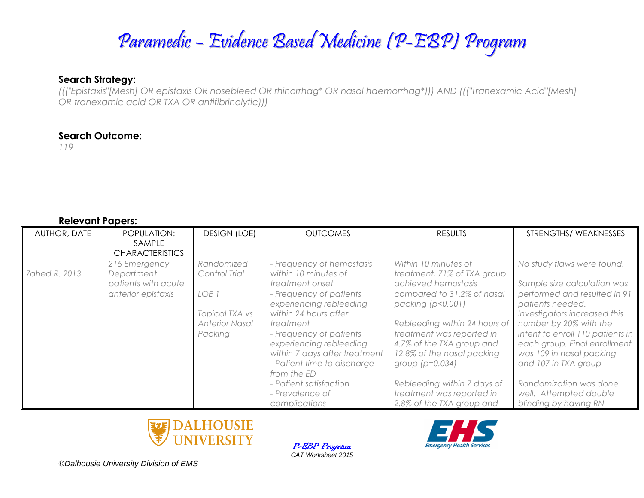#### **Search Strategy:**

*((("Epistaxis"[Mesh] OR epistaxis OR nosebleed OR rhinorrhag\* OR nasal haemorrhag\*))) AND ((("Tranexamic Acid"[Mesh] OR tranexamic acid OR TXA OR antifibrinolytic)))*

#### **Search Outcome:**

*119*

#### **Relevant Papers:**

| <b>AUTHOR, DATE</b> | POPULATION:<br>SAMPLE<br><b>CHARACTERISTICS</b>                          | <b>DESIGN (LOE)</b>                                                                        | <b>OUTCOMES</b>                                                                                                                                                                                                                                                                                                                                                     | <b>RESULTS</b>                                                                                                                                                                                                                                                                                                                                                       | STRENGTHS/WEAKNESSES                                                                                                                                                                                                                                                                                                                                                         |
|---------------------|--------------------------------------------------------------------------|--------------------------------------------------------------------------------------------|---------------------------------------------------------------------------------------------------------------------------------------------------------------------------------------------------------------------------------------------------------------------------------------------------------------------------------------------------------------------|----------------------------------------------------------------------------------------------------------------------------------------------------------------------------------------------------------------------------------------------------------------------------------------------------------------------------------------------------------------------|------------------------------------------------------------------------------------------------------------------------------------------------------------------------------------------------------------------------------------------------------------------------------------------------------------------------------------------------------------------------------|
| Zahed R. 2013       | 216 Emergency<br>Department<br>patients with acute<br>anterior epistaxis | Randomized<br>Control Trial<br>LOE 1<br>Topical TXA vs<br><b>Anterior Nasal</b><br>Packing | - Frequency of hemostasis<br>within 10 minutes of<br>treatment onset<br>- Frequency of patients<br>experiencing rebleeding<br>within 24 hours after<br>treatment<br>- Frequency of patients<br>experiencing rebleeding<br>within 7 days after treatment<br>- Patient time to discharge<br>from the ED<br>- Patient satisfaction<br>- Prevalence of<br>complications | Within 10 minutes of<br>treatment, 71% of TXA group<br>achieved hemostasis<br>compared to 31.2% of nasal<br>packing (p<0.001)<br>Rebleeding within 24 hours of<br>treatment was reported in<br>4.7% of the TXA group and<br>12.8% of the nasal packing<br>group $(p=0.034)$<br>Rebleeding within 7 days of<br>treatment was reported in<br>2.8% of the TXA group and | No study flaws were found.<br>Sample size calculation was<br>performed and resulted in 91<br>patients needed.<br>Investigators increased this<br>number by 20% with the<br>intent to enroll 110 patients in<br>each group. Final enrollment<br>was 109 in nasal packing<br>and 107 in TXA group<br>Randomization was done<br>well. Attempted double<br>blinding by having RN |



P-EBP Program *CAT Worksheet 2015*

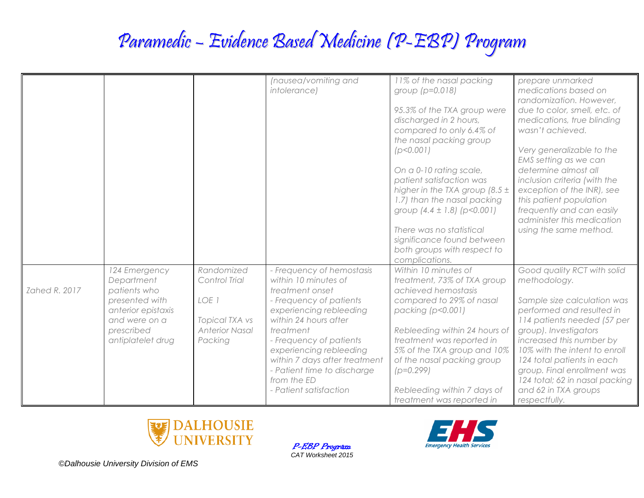|               |                    |                       | (nausea/vomiting and          | 11% of the nasal packing                                  | prepare unmarked               |
|---------------|--------------------|-----------------------|-------------------------------|-----------------------------------------------------------|--------------------------------|
|               |                    |                       | intolerance)                  | group $(p=0.018)$                                         | medications based on           |
|               |                    |                       |                               |                                                           | randomization. However,        |
|               |                    |                       |                               | 95.3% of the TXA group were                               | due to color, smell, etc. of   |
|               |                    |                       |                               | discharged in 2 hours,                                    | medications, true blinding     |
|               |                    |                       |                               | compared to only 6.4% of                                  | wasn't achieved.               |
|               |                    |                       |                               | the nasal packing group                                   |                                |
|               |                    |                       |                               | (p<0.001)                                                 | Very generalizable to the      |
|               |                    |                       |                               |                                                           | EMS setting as we can          |
|               |                    |                       |                               | On a 0-10 rating scale,                                   | determine almost all           |
|               |                    |                       |                               | patient satisfaction was                                  | inclusion criteria (with the   |
|               |                    |                       |                               | higher in the TXA group $(8.5 \pm$                        | exception of the INR), see     |
|               |                    |                       |                               | 1.7) than the nasal packing                               | this patient population        |
|               |                    |                       |                               | group $(4.4 \pm 1.8)$ (p<0.001)                           | frequently and can easily      |
|               |                    |                       |                               |                                                           | administer this medication     |
|               |                    |                       |                               | There was no statistical                                  | using the same method.         |
|               |                    |                       |                               | significance found between<br>both groups with respect to |                                |
|               |                    |                       |                               | complications.                                            |                                |
|               | 124 Emergency      | Randomized            | - Frequency of hemostasis     | Within 10 minutes of                                      | Good quality RCT with solid    |
|               | Department         | Control Trial         | within 10 minutes of          | treatment, 73% of TXA group                               | methodology.                   |
| Zahed R. 2017 | patients who       |                       | treatment onset               | achieved hemostasis                                       |                                |
|               | presented with     | LOE 1                 | - Frequency of patients       | compared to 29% of nasal                                  | Sample size calculation was    |
|               | anterior epistaxis |                       | experiencing rebleeding       | packing (p<0.001)                                         | performed and resulted in      |
|               | and were on a      | <b>Topical TXA vs</b> | within 24 hours after         |                                                           | 114 patients needed (57 per    |
|               | prescribed         | <b>Anterior Nasal</b> | treatment                     | Rebleeding within 24 hours of                             | group). Investigators          |
|               | antiplatelet drug  | Packing               | - Frequency of patients       | treatment was reported in                                 | increased this number by       |
|               |                    |                       | experiencing rebleeding       | 5% of the TXA group and 10%                               | 10% with the intent to enroll  |
|               |                    |                       | within 7 days after treatment | of the nasal packing group                                | 124 total patients in each     |
|               |                    |                       | - Patient time to discharge   | $(p=0.299)$                                               | group. Final enrollment was    |
|               |                    |                       | from the ED                   |                                                           | 124 total; 62 in nasal packing |
|               |                    |                       | - Patient satisfaction        | Rebleeding within 7 days of                               | and 62 in TXA groups           |
|               |                    |                       |                               | treatment was reported in                                 | respectfully.                  |



P-EBP Program *CAT Worksheet 2015*

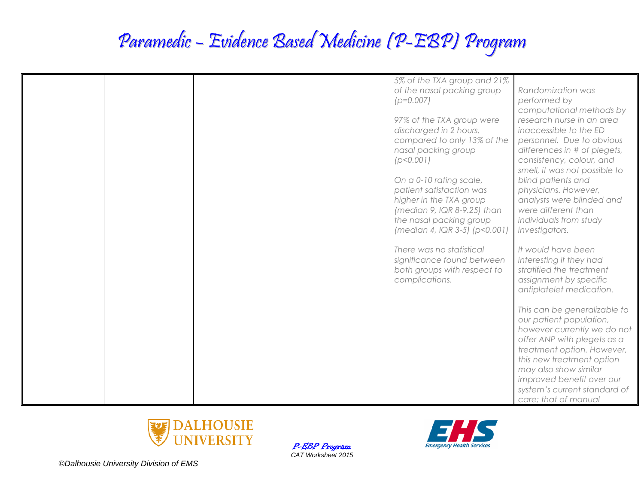| 5% of the TXA group and 21%   |                               |
|-------------------------------|-------------------------------|
| of the nasal packing group    | Randomization was             |
| $(p=0.007)$                   | performed by                  |
|                               | computational methods by      |
| 97% of the TXA group were     | research nurse in an area     |
| discharged in 2 hours,        | inaccessible to the ED        |
| compared to only 13% of the   | personnel. Due to obvious     |
| nasal packing group           | differences in # of plegets,  |
| (p<0.001)                     | consistency, colour, and      |
|                               | smell, it was not possible to |
| On a 0-10 rating scale,       | blind patients and            |
| patient satisfaction was      | physicians. However,          |
| higher in the TXA group       | analysts were blinded and     |
| (median 9, IQR 8-9.25) than   | were different than           |
| the nasal packing group       | individuals from study        |
| (median 4, IQR 3-5) (p<0.001) | investigators.                |
|                               |                               |
| There was no statistical      | It would have been            |
| significance found between    | interesting if they had       |
| both groups with respect to   | stratified the treatment      |
| complications.                | assignment by specific        |
|                               | antiplatelet medication.      |
|                               |                               |
|                               | This can be generalizable to  |
|                               | our patient population,       |
|                               | however currently we do not   |
|                               | offer ANP with plegets as a   |
|                               | treatment option. However,    |
|                               | this new treatment option     |
|                               | may also show similar         |
|                               | improved benefit over our     |
|                               | system's current standard of  |
|                               | care; that of manual          |



P-EBP Program *CAT Worksheet 2015*

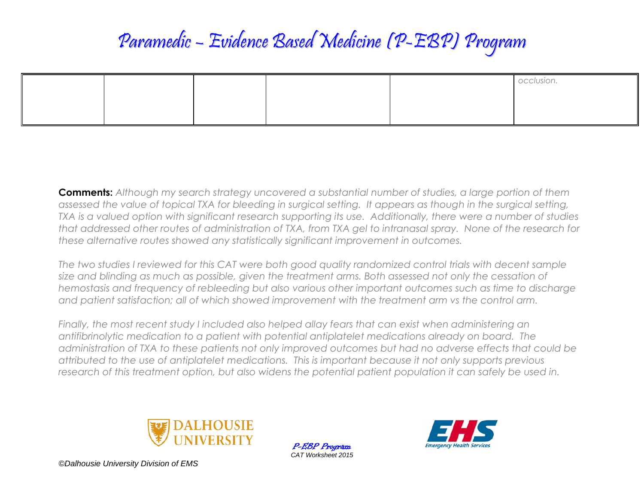|  |  | occlusion<br>UCCIUSIUI I. |
|--|--|---------------------------|
|  |  |                           |
|  |  |                           |

**Comments:** *Although my search strategy uncovered a substantial number of studies, a large portion of them assessed the value of topical TXA for bleeding in surgical setting. It appears as though in the surgical setting, TXA is a valued option with significant research supporting its use. Additionally, there were a number of studies that addressed other routes of administration of TXA, from TXA gel to intranasal spray. None of the research for these alternative routes showed any statistically significant improvement in outcomes.* 

*The two studies I reviewed for this CAT were both good quality randomized control trials with decent sample size and blinding as much as possible, given the treatment arms. Both assessed not only the cessation of hemostasis and frequency of rebleeding but also various other important outcomes such as time to discharge and patient satisfaction; all of which showed improvement with the treatment arm vs the control arm.*

*Finally, the most recent study I included also helped allay fears that can exist when administering an antifibrinolytic medication to a patient with potential antiplatelet medications already on board. The administration of TXA to these patients not only improved outcomes but had no adverse effects that could be attributed to the use of antiplatelet medications. This is important because it not only supports previous*  research of this treatment option, but also widens the potential patient population it can safely be used in.



P-EBP Program *CAT Worksheet 2015*

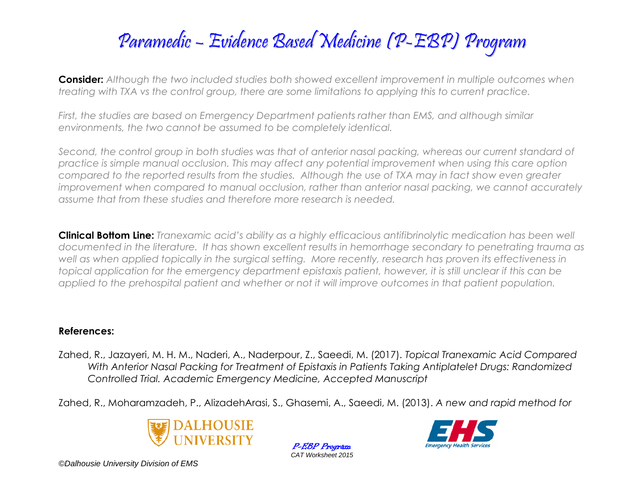**Consider:** *Although the two included studies both showed excellent improvement in multiple outcomes when treating with TXA vs the control group, there are some limitations to applying this to current practice.*

*First, the studies are based on Emergency Department patients rather than EMS, and although similar environments, the two cannot be assumed to be completely identical.* 

*Second, the control group in both studies was that of anterior nasal packing, whereas our current standard of practice is simple manual occlusion. This may affect any potential improvement when using this care option compared to the reported results from the studies. Although the use of TXA may in fact show even greater improvement when compared to manual occlusion, rather than anterior nasal packing, we cannot accurately assume that from these studies and therefore more research is needed.* 

**Clinical Bottom Line:** *Tranexamic acid's ability as a highly efficacious antifibrinolytic medication has been well documented in the literature. It has shown excellent results in hemorrhage secondary to penetrating trauma as*  well as when applied topically in the surgical setting. More recently, research has proven its effectiveness in *topical application for the emergency department epistaxis patient, however, it is still unclear if this can be applied to the prehospital patient and whether or not it will improve outcomes in that patient population.* 

#### **References:**

Zahed, R., Jazayeri, M. H. M., Naderi, A., Naderpour, Z., Saeedi, M. (2017). *Topical Tranexamic Acid Compared With Anterior Nasal Packing for Treatment of Epistaxis in Patients Taking Antiplatelet Drugs: Randomized Controlled Trial. Academic Emergency Medicine, Accepted Manuscript*

Zahed, R., Moharamzadeh, P., AlizadehArasi, S., Ghasemi, A., Saeedi, M. (2013). *A new and rapid method for* 



P-EBP Program *CAT Worksheet 2015*